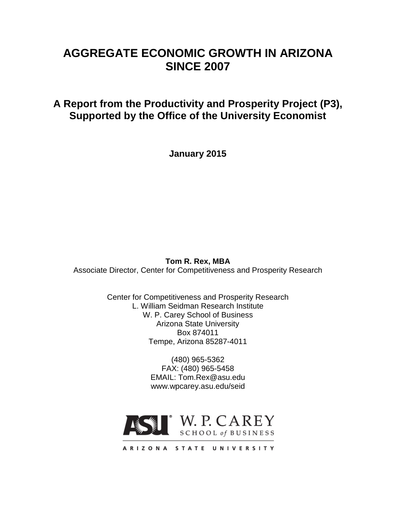# **AGGREGATE ECONOMIC GROWTH IN ARIZONA SINCE 2007**

# **A Report from the Productivity and Prosperity Project (P3), Supported by the Office of the University Economist**

**January 2015**

**Tom R. Rex, MBA** Associate Director, Center for Competitiveness and Prosperity Research

> Center for Competitiveness and Prosperity Research L. William Seidman Research Institute W. P. Carey School of Business Arizona State University Box 874011 Tempe, Arizona 85287-4011

> > (480) 965-5362 FAX: (480) 965-5458 EMAIL: Tom.Rex@asu.edu www.wpcarey.asu.edu/seid

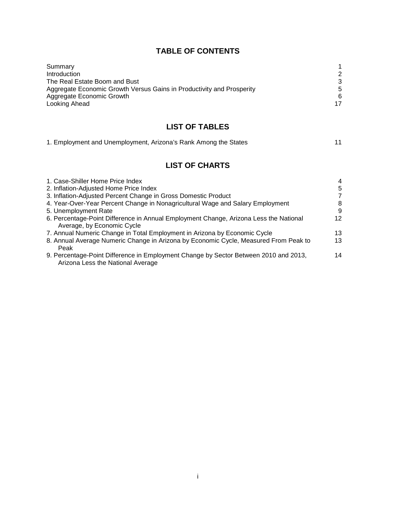## **TABLE OF CONTENTS**

| Summary                                                               |    |
|-----------------------------------------------------------------------|----|
| <b>Introduction</b>                                                   | 2  |
| The Real Estate Boom and Bust                                         | 3  |
| Aggregate Economic Growth Versus Gains in Productivity and Prosperity | 5  |
| Aggregate Economic Growth                                             | 6  |
| Looking Ahead                                                         | 17 |

# **LIST OF TABLES**

|  | 1. Employment and Unemployment, Arizona's Rank Among the States |  |
|--|-----------------------------------------------------------------|--|
|  |                                                                 |  |

# **LIST OF CHARTS**

| 1. Case-Shiller Home Price Index                                                                                          | $\overline{4}$ |
|---------------------------------------------------------------------------------------------------------------------------|----------------|
| 2. Inflation-Adjusted Home Price Index                                                                                    | 5              |
| 3. Inflation-Adjusted Percent Change in Gross Domestic Product                                                            | 7              |
| 4. Year-Over-Year Percent Change in Nonagricultural Wage and Salary Employment                                            | 8              |
| 5. Unemployment Rate                                                                                                      | 9              |
| 6. Percentage-Point Difference in Annual Employment Change, Arizona Less the National<br>Average, by Economic Cycle       | 12             |
| 7. Annual Numeric Change in Total Employment in Arizona by Economic Cycle                                                 | 13             |
| 8. Annual Average Numeric Change in Arizona by Economic Cycle, Measured From Peak to<br>Peak                              | 13             |
| 9. Percentage-Point Difference in Employment Change by Sector Between 2010 and 2013,<br>Arizona Less the National Average | 14             |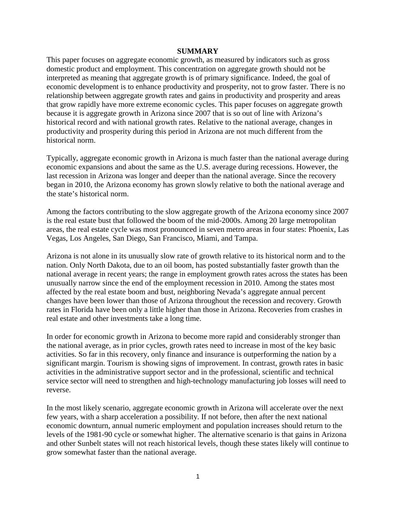#### **SUMMARY**

This paper focuses on aggregate economic growth, as measured by indicators such as gross domestic product and employment. This concentration on aggregate growth should not be interpreted as meaning that aggregate growth is of primary significance. Indeed, the goal of economic development is to enhance productivity and prosperity, not to grow faster. There is no relationship between aggregate growth rates and gains in productivity and prosperity and areas that grow rapidly have more extreme economic cycles. This paper focuses on aggregate growth because it is aggregate growth in Arizona since 2007 that is so out of line with Arizona's historical record and with national growth rates. Relative to the national average, changes in productivity and prosperity during this period in Arizona are not much different from the historical norm.

Typically, aggregate economic growth in Arizona is much faster than the national average during economic expansions and about the same as the U.S. average during recessions. However, the last recession in Arizona was longer and deeper than the national average. Since the recovery began in 2010, the Arizona economy has grown slowly relative to both the national average and the state's historical norm.

Among the factors contributing to the slow aggregate growth of the Arizona economy since 2007 is the real estate bust that followed the boom of the mid-2000s. Among 20 large metropolitan areas, the real estate cycle was most pronounced in seven metro areas in four states: Phoenix, Las Vegas, Los Angeles, San Diego, San Francisco, Miami, and Tampa.

Arizona is not alone in its unusually slow rate of growth relative to its historical norm and to the nation. Only North Dakota, due to an oil boom, has posted substantially faster growth than the national average in recent years; the range in employment growth rates across the states has been unusually narrow since the end of the employment recession in 2010. Among the states most affected by the real estate boom and bust, neighboring Nevada's aggregate annual percent changes have been lower than those of Arizona throughout the recession and recovery. Growth rates in Florida have been only a little higher than those in Arizona. Recoveries from crashes in real estate and other investments take a long time.

In order for economic growth in Arizona to become more rapid and considerably stronger than the national average, as in prior cycles, growth rates need to increase in most of the key basic activities. So far in this recovery, only finance and insurance is outperforming the nation by a significant margin. Tourism is showing signs of improvement. In contrast, growth rates in basic activities in the administrative support sector and in the professional, scientific and technical service sector will need to strengthen and high-technology manufacturing job losses will need to reverse.

In the most likely scenario, aggregate economic growth in Arizona will accelerate over the next few years, with a sharp acceleration a possibility. If not before, then after the next national economic downturn, annual numeric employment and population increases should return to the levels of the 1981-90 cycle or somewhat higher. The alternative scenario is that gains in Arizona and other Sunbelt states will not reach historical levels, though these states likely will continue to grow somewhat faster than the national average.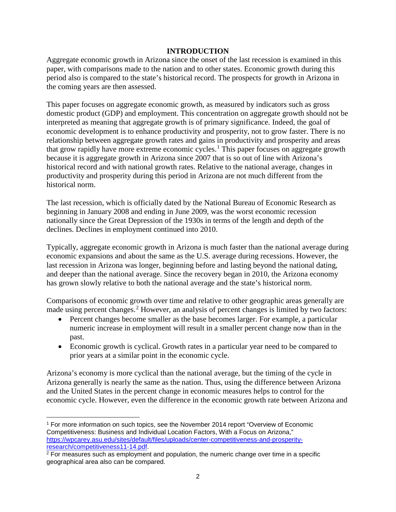## **INTRODUCTION**

Aggregate economic growth in Arizona since the onset of the last recession is examined in this paper, with comparisons made to the nation and to other states. Economic growth during this period also is compared to the state's historical record. The prospects for growth in Arizona in the coming years are then assessed.

This paper focuses on aggregate economic growth, as measured by indicators such as gross domestic product (GDP) and employment. This concentration on aggregate growth should not be interpreted as meaning that aggregate growth is of primary significance. Indeed, the goal of economic development is to enhance productivity and prosperity, not to grow faster. There is no relationship between aggregate growth rates and gains in productivity and prosperity and areas that grow rapidly have more extreme economic cycles.<sup>[1](#page-3-0)</sup> This paper focuses on aggregate growth because it is aggregate growth in Arizona since 2007 that is so out of line with Arizona's historical record and with national growth rates. Relative to the national average, changes in productivity and prosperity during this period in Arizona are not much different from the historical norm.

The last recession, which is officially dated by the National Bureau of Economic Research as beginning in January 2008 and ending in June 2009, was the worst economic recession nationally since the Great Depression of the 1930s in terms of the length and depth of the declines. Declines in employment continued into 2010.

Typically, aggregate economic growth in Arizona is much faster than the national average during economic expansions and about the same as the U.S. average during recessions. However, the last recession in Arizona was longer, beginning before and lasting beyond the national dating, and deeper than the national average. Since the recovery began in 2010, the Arizona economy has grown slowly relative to both the national average and the state's historical norm.

Comparisons of economic growth over time and relative to other geographic areas generally are made using percent changes.<sup>[2](#page-3-1)</sup> However, an analysis of percent changes is limited by two factors:

- Percent changes become smaller as the base becomes larger. For example, a particular numeric increase in employment will result in a smaller percent change now than in the past.
- Economic growth is cyclical. Growth rates in a particular year need to be compared to prior years at a similar point in the economic cycle.

Arizona's economy is more cyclical than the national average, but the timing of the cycle in Arizona generally is nearly the same as the nation. Thus, using the difference between Arizona and the United States in the percent change in economic measures helps to control for the economic cycle. However, even the difference in the economic growth rate between Arizona and

<span id="page-3-0"></span><sup>1</sup> For more information on such topics, see the November 2014 report "Overview of Economic Competitiveness: Business and Individual Location Factors, With a Focus on Arizona," [https://wpcarey.asu.edu/sites/default/files/uploads/center-competitiveness-and-prosperity](https://wpcarey.asu.edu/sites/default/files/uploads/center-competitiveness-and-prosperity-research/competitiveness11-14.pdf)[research/competitiveness11-14.pdf.](https://wpcarey.asu.edu/sites/default/files/uploads/center-competitiveness-and-prosperity-research/competitiveness11-14.pdf)  $\overline{\phantom{a}}$ 

<span id="page-3-1"></span> $2$  For measures such as employment and population, the numeric change over time in a specific geographical area also can be compared.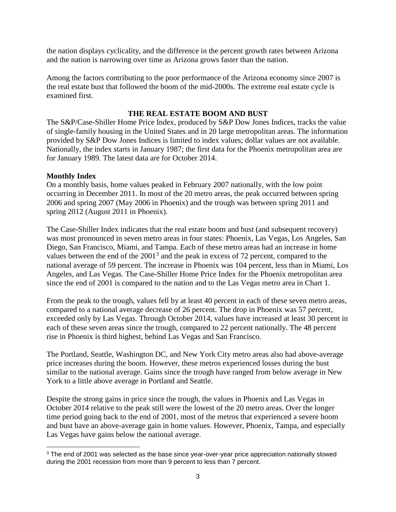the nation displays cyclicality, and the difference in the percent growth rates between Arizona and the nation is narrowing over time as Arizona grows faster than the nation.

Among the factors contributing to the poor performance of the Arizona economy since 2007 is the real estate bust that followed the boom of the mid-2000s. The extreme real estate cycle is examined first.

## **THE REAL ESTATE BOOM AND BUST**

The S&P/Case-Shiller Home Price Index, produced by S&P Dow Jones Indices, tracks the value of single-family housing in the United States and in 20 large metropolitan areas. The information provided by S&P Dow Jones Indices is limited to index values; dollar values are not available. Nationally, the index starts in January 1987; the first data for the Phoenix metropolitan area are for January 1989. The latest data are for October 2014.

#### **Monthly Index**

l

On a monthly basis, home values peaked in February 2007 nationally, with the low point occurring in December 2011. In most of the 20 metro areas, the peak occurred between spring 2006 and spring 2007 (May 2006 in Phoenix) and the trough was between spring 2011 and spring 2012 (August 2011 in Phoenix).

The Case-Shiller Index indicates that the real estate boom and bust (and subsequent recovery) was most pronounced in seven metro areas in four states: Phoenix, Las Vegas, Los Angeles, San Diego, San Francisco, Miami, and Tampa. Each of these metro areas had an increase in home values between the end of the 2001<sup>[3](#page-4-0)</sup> and the peak in excess of 72 percent, compared to the national average of 59 percent. The increase in Phoenix was 104 percent, less than in Miami, Los Angeles, and Las Vegas. The Case-Shiller Home Price Index for the Phoenix metropolitan area since the end of 2001 is compared to the nation and to the Las Vegas metro area in Chart 1.

From the peak to the trough, values fell by at least 40 percent in each of these seven metro areas, compared to a national average decrease of 26 percent. The drop in Phoenix was 57 percent, exceeded only by Las Vegas. Through October 2014, values have increased at least 30 percent in each of these seven areas since the trough, compared to 22 percent nationally. The 48 percent rise in Phoenix is third highest, behind Las Vegas and San Francisco.

The Portland, Seattle, Washington DC, and New York City metro areas also had above-average price increases during the boom. However, these metros experienced losses during the bust similar to the national average. Gains since the trough have ranged from below average in New York to a little above average in Portland and Seattle.

Despite the strong gains in price since the trough, the values in Phoenix and Las Vegas in October 2014 relative to the peak still were the lowest of the 20 metro areas. Over the longer time period going back to the end of 2001, most of the metros that experienced a severe boom and bust have an above-average gain in home values. However, Phoenix, Tampa, and especially Las Vegas have gains below the national average.

<span id="page-4-0"></span><sup>&</sup>lt;sup>3</sup> The end of 2001 was selected as the base since year-over-year price appreciation nationally slowed during the 2001 recession from more than 9 percent to less than 7 percent.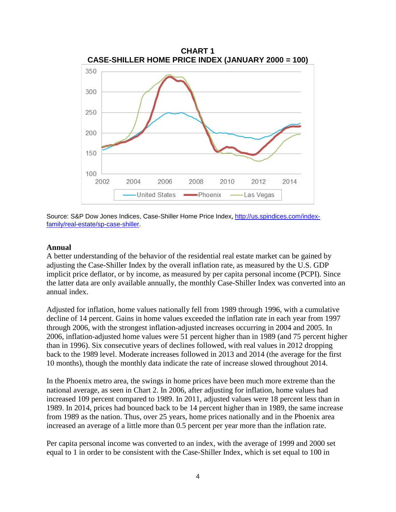

Source: S&P Dow Jones Indices, Case-Shiller Home Price Index, [http://us.spindices.com/index](http://us.spindices.com/index-family/real-estate/sp-case-shiller)[family/real-estate/sp-case-shiller.](http://us.spindices.com/index-family/real-estate/sp-case-shiller)

#### **Annual**

A better understanding of the behavior of the residential real estate market can be gained by adjusting the Case-Shiller Index by the overall inflation rate, as measured by the U.S. GDP implicit price deflator, or by income, as measured by per capita personal income (PCPI). Since the latter data are only available annually, the monthly Case-Shiller Index was converted into an annual index.

Adjusted for inflation, home values nationally fell from 1989 through 1996, with a cumulative decline of 14 percent. Gains in home values exceeded the inflation rate in each year from 1997 through 2006, with the strongest inflation-adjusted increases occurring in 2004 and 2005. In 2006, inflation-adjusted home values were 51 percent higher than in 1989 (and 75 percent higher than in 1996). Six consecutive years of declines followed, with real values in 2012 dropping back to the 1989 level. Moderate increases followed in 2013 and 2014 (the average for the first 10 months), though the monthly data indicate the rate of increase slowed throughout 2014.

In the Phoenix metro area, the swings in home prices have been much more extreme than the national average, as seen in Chart 2. In 2006, after adjusting for inflation, home values had increased 109 percent compared to 1989. In 2011, adjusted values were 18 percent less than in 1989. In 2014, prices had bounced back to be 14 percent higher than in 1989, the same increase from 1989 as the nation. Thus, over 25 years, home prices nationally and in the Phoenix area increased an average of a little more than 0.5 percent per year more than the inflation rate.

Per capita personal income was converted to an index, with the average of 1999 and 2000 set equal to 1 in order to be consistent with the Case-Shiller Index, which is set equal to 100 in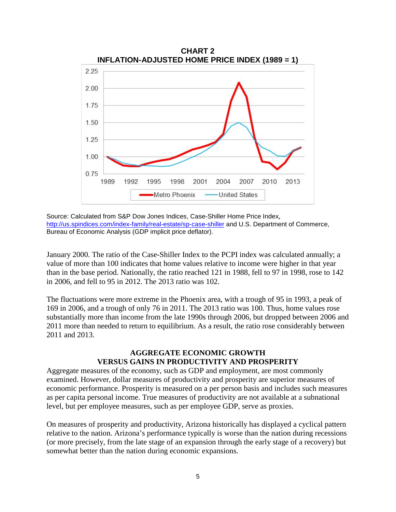

Source: Calculated from S&P Dow Jones Indices, Case-Shiller Home Price Index, <http://us.spindices.com/index-family/real-estate/sp-case-shiller> and U.S. Department of Commerce, Bureau of Economic Analysis (GDP implicit price deflator).

January 2000. The ratio of the Case-Shiller Index to the PCPI index was calculated annually; a value of more than 100 indicates that home values relative to income were higher in that year than in the base period. Nationally, the ratio reached 121 in 1988, fell to 97 in 1998, rose to 142 in 2006, and fell to 95 in 2012. The 2013 ratio was 102.

The fluctuations were more extreme in the Phoenix area, with a trough of 95 in 1993, a peak of 169 in 2006, and a trough of only 76 in 2011. The 2013 ratio was 100. Thus, home values rose substantially more than income from the late 1990s through 2006, but dropped between 2006 and 2011 more than needed to return to equilibrium. As a result, the ratio rose considerably between 2011 and 2013.

## **AGGREGATE ECONOMIC GROWTH VERSUS GAINS IN PRODUCTIVITY AND PROSPERITY**

Aggregate measures of the economy, such as GDP and employment, are most commonly examined. However, dollar measures of productivity and prosperity are superior measures of economic performance. Prosperity is measured on a per person basis and includes such measures as per capita personal income. True measures of productivity are not available at a subnational level, but per employee measures, such as per employee GDP, serve as proxies.

On measures of prosperity and productivity, Arizona historically has displayed a cyclical pattern relative to the nation. Arizona's performance typically is worse than the nation during recessions (or more precisely, from the late stage of an expansion through the early stage of a recovery) but somewhat better than the nation during economic expansions.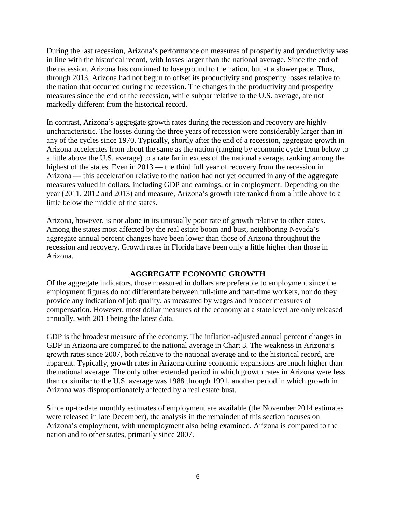During the last recession, Arizona's performance on measures of prosperity and productivity was in line with the historical record, with losses larger than the national average. Since the end of the recession, Arizona has continued to lose ground to the nation, but at a slower pace. Thus, through 2013, Arizona had not begun to offset its productivity and prosperity losses relative to the nation that occurred during the recession. The changes in the productivity and prosperity measures since the end of the recession, while subpar relative to the U.S. average, are not markedly different from the historical record.

In contrast, Arizona's aggregate growth rates during the recession and recovery are highly uncharacteristic. The losses during the three years of recession were considerably larger than in any of the cycles since 1970. Typically, shortly after the end of a recession, aggregate growth in Arizona accelerates from about the same as the nation (ranging by economic cycle from below to a little above the U.S. average) to a rate far in excess of the national average, ranking among the highest of the states. Even in 2013 — the third full year of recovery from the recession in Arizona — this acceleration relative to the nation had not yet occurred in any of the aggregate measures valued in dollars, including GDP and earnings, or in employment. Depending on the year (2011, 2012 and 2013) and measure, Arizona's growth rate ranked from a little above to a little below the middle of the states.

Arizona, however, is not alone in its unusually poor rate of growth relative to other states. Among the states most affected by the real estate boom and bust, neighboring Nevada's aggregate annual percent changes have been lower than those of Arizona throughout the recession and recovery. Growth rates in Florida have been only a little higher than those in Arizona.

#### **AGGREGATE ECONOMIC GROWTH**

Of the aggregate indicators, those measured in dollars are preferable to employment since the employment figures do not differentiate between full-time and part-time workers, nor do they provide any indication of job quality, as measured by wages and broader measures of compensation. However, most dollar measures of the economy at a state level are only released annually, with 2013 being the latest data.

GDP is the broadest measure of the economy. The inflation-adjusted annual percent changes in GDP in Arizona are compared to the national average in Chart 3. The weakness in Arizona's growth rates since 2007, both relative to the national average and to the historical record, are apparent. Typically, growth rates in Arizona during economic expansions are much higher than the national average. The only other extended period in which growth rates in Arizona were less than or similar to the U.S. average was 1988 through 1991, another period in which growth in Arizona was disproportionately affected by a real estate bust.

Since up-to-date monthly estimates of employment are available (the November 2014 estimates were released in late December), the analysis in the remainder of this section focuses on Arizona's employment, with unemployment also being examined. Arizona is compared to the nation and to other states, primarily since 2007.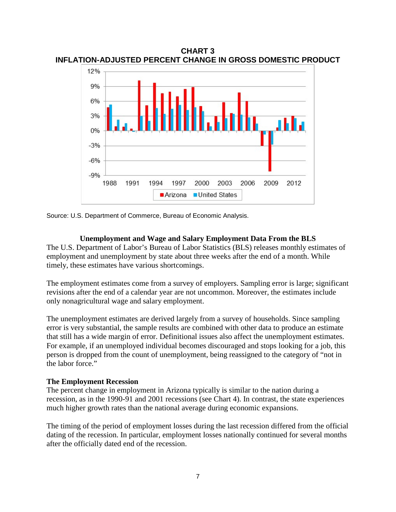**CHART 3 INFLATION-ADJUSTED PERCENT CHANGE IN GROSS DOMESTIC PRODUCT**



Source: U.S. Department of Commerce, Bureau of Economic Analysis.

#### **Unemployment and Wage and Salary Employment Data From the BLS**

The U.S. Department of Labor's Bureau of Labor Statistics (BLS) releases monthly estimates of employment and unemployment by state about three weeks after the end of a month. While timely, these estimates have various shortcomings.

The employment estimates come from a survey of employers. Sampling error is large; significant revisions after the end of a calendar year are not uncommon. Moreover, the estimates include only nonagricultural wage and salary employment.

The unemployment estimates are derived largely from a survey of households. Since sampling error is very substantial, the sample results are combined with other data to produce an estimate that still has a wide margin of error. Definitional issues also affect the unemployment estimates. For example, if an unemployed individual becomes discouraged and stops looking for a job, this person is dropped from the count of unemployment, being reassigned to the category of "not in the labor force."

#### **The Employment Recession**

The percent change in employment in Arizona typically is similar to the nation during a recession, as in the 1990-91 and 2001 recessions (see Chart 4). In contrast, the state experiences much higher growth rates than the national average during economic expansions.

The timing of the period of employment losses during the last recession differed from the official dating of the recession. In particular, employment losses nationally continued for several months after the officially dated end of the recession.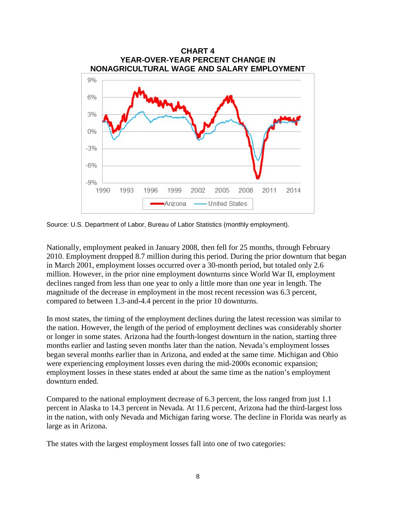

Source: U.S. Department of Labor, Bureau of Labor Statistics (monthly employment).

Nationally, employment peaked in January 2008, then fell for 25 months, through February 2010. Employment dropped 8.7 million during this period. During the prior downturn that began in March 2001, employment losses occurred over a 30-month period, but totaled only 2.6 million. However, in the prior nine employment downturns since World War II, employment declines ranged from less than one year to only a little more than one year in length. The magnitude of the decrease in employment in the most recent recession was 6.3 percent, compared to between 1.3-and-4.4 percent in the prior 10 downturns.

In most states, the timing of the employment declines during the latest recession was similar to the nation. However, the length of the period of employment declines was considerably shorter or longer in some states. Arizona had the fourth-longest downturn in the nation, starting three months earlier and lasting seven months later than the nation. Nevada's employment losses began several months earlier than in Arizona, and ended at the same time. Michigan and Ohio were experiencing employment losses even during the mid-2000s economic expansion; employment losses in these states ended at about the same time as the nation's employment downturn ended.

Compared to the national employment decrease of 6.3 percent, the loss ranged from just 1.1 percent in Alaska to 14.3 percent in Nevada. At 11.6 percent, Arizona had the third-largest loss in the nation, with only Nevada and Michigan faring worse. The decline in Florida was nearly as large as in Arizona.

The states with the largest employment losses fall into one of two categories: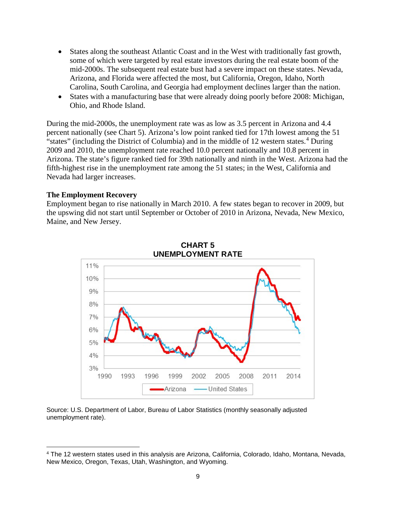- States along the southeast Atlantic Coast and in the West with traditionally fast growth, some of which were targeted by real estate investors during the real estate boom of the mid-2000s. The subsequent real estate bust had a severe impact on these states. Nevada, Arizona, and Florida were affected the most, but California, Oregon, Idaho, North Carolina, South Carolina, and Georgia had employment declines larger than the nation.
- States with a manufacturing base that were already doing poorly before 2008: Michigan, Ohio, and Rhode Island.

During the mid-2000s, the unemployment rate was as low as 3.5 percent in Arizona and 4.4 percent nationally (see Chart 5). Arizona's low point ranked tied for 17th lowest among the 51 "states" (including the District of Columbia) and in the middle of 12 western states.<sup>[4](#page-10-0)</sup> During 2009 and 2010, the unemployment rate reached 10.0 percent nationally and 10.8 percent in Arizona. The state's figure ranked tied for 39th nationally and ninth in the West. Arizona had the fifth-highest rise in the unemployment rate among the 51 states; in the West, California and Nevada had larger increases.

#### **The Employment Recovery**

l

Employment began to rise nationally in March 2010. A few states began to recover in 2009, but the upswing did not start until September or October of 2010 in Arizona, Nevada, New Mexico, Maine, and New Jersey.





Source: U.S. Department of Labor, Bureau of Labor Statistics (monthly seasonally adjusted unemployment rate).

<span id="page-10-0"></span><sup>4</sup> The 12 western states used in this analysis are Arizona, California, Colorado, Idaho, Montana, Nevada, New Mexico, Oregon, Texas, Utah, Washington, and Wyoming.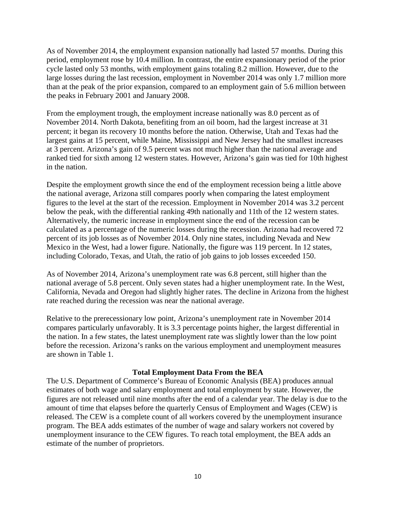As of November 2014, the employment expansion nationally had lasted 57 months. During this period, employment rose by 10.4 million. In contrast, the entire expansionary period of the prior cycle lasted only 53 months, with employment gains totaling 8.2 million. However, due to the large losses during the last recession, employment in November 2014 was only 1.7 million more than at the peak of the prior expansion, compared to an employment gain of 5.6 million between the peaks in February 2001 and January 2008.

From the employment trough, the employment increase nationally was 8.0 percent as of November 2014. North Dakota, benefiting from an oil boom, had the largest increase at 31 percent; it began its recovery 10 months before the nation. Otherwise, Utah and Texas had the largest gains at 15 percent, while Maine, Mississippi and New Jersey had the smallest increases at 3 percent. Arizona's gain of 9.5 percent was not much higher than the national average and ranked tied for sixth among 12 western states. However, Arizona's gain was tied for 10th highest in the nation.

Despite the employment growth since the end of the employment recession being a little above the national average, Arizona still compares poorly when comparing the latest employment figures to the level at the start of the recession. Employment in November 2014 was 3.2 percent below the peak, with the differential ranking 49th nationally and 11th of the 12 western states. Alternatively, the numeric increase in employment since the end of the recession can be calculated as a percentage of the numeric losses during the recession. Arizona had recovered 72 percent of its job losses as of November 2014. Only nine states, including Nevada and New Mexico in the West, had a lower figure. Nationally, the figure was 119 percent. In 12 states, including Colorado, Texas, and Utah, the ratio of job gains to job losses exceeded 150.

As of November 2014, Arizona's unemployment rate was 6.8 percent, still higher than the national average of 5.8 percent. Only seven states had a higher unemployment rate. In the West, California, Nevada and Oregon had slightly higher rates. The decline in Arizona from the highest rate reached during the recession was near the national average.

Relative to the prerecessionary low point, Arizona's unemployment rate in November 2014 compares particularly unfavorably. It is 3.3 percentage points higher, the largest differential in the nation. In a few states, the latest unemployment rate was slightly lower than the low point before the recession. Arizona's ranks on the various employment and unemployment measures are shown in Table 1.

#### **Total Employment Data From the BEA**

The U.S. Department of Commerce's Bureau of Economic Analysis (BEA) produces annual estimates of both wage and salary employment and total employment by state. However, the figures are not released until nine months after the end of a calendar year. The delay is due to the amount of time that elapses before the quarterly Census of Employment and Wages (CEW) is released. The CEW is a complete count of all workers covered by the unemployment insurance program. The BEA adds estimates of the number of wage and salary workers not covered by unemployment insurance to the CEW figures. To reach total employment, the BEA adds an estimate of the number of proprietors.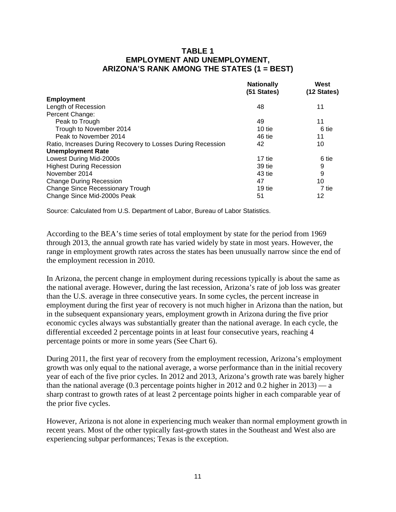### **TABLE 1 EMPLOYMENT AND UNEMPLOYMENT, ARIZONA'S RANK AMONG THE STATES (1 = BEST)**

| <b>Nationally</b><br>(51 States) | West<br>(12 States) |
|----------------------------------|---------------------|
|                                  |                     |
| 48                               | 11                  |
|                                  |                     |
| 49                               | 11                  |
| 10 tie                           | 6 tie               |
| 46 tie                           | 11                  |
| 42                               | 10                  |
|                                  |                     |
| 17 tie                           | 6 tie               |
| 39 tie                           | 9                   |
| 43 tie                           | 9                   |
| 47                               | 10                  |
| 19 tie                           | 7 tie               |
| 51                               | 12                  |
|                                  |                     |

Source: Calculated from U.S. Department of Labor, Bureau of Labor Statistics.

According to the BEA's time series of total employment by state for the period from 1969 through 2013, the annual growth rate has varied widely by state in most years. However, the range in employment growth rates across the states has been unusually narrow since the end of the employment recession in 2010.

In Arizona, the percent change in employment during recessions typically is about the same as the national average. However, during the last recession, Arizona's rate of job loss was greater than the U.S. average in three consecutive years. In some cycles, the percent increase in employment during the first year of recovery is not much higher in Arizona than the nation, but in the subsequent expansionary years, employment growth in Arizona during the five prior economic cycles always was substantially greater than the national average. In each cycle, the differential exceeded 2 percentage points in at least four consecutive years, reaching 4 percentage points or more in some years (See Chart 6).

During 2011, the first year of recovery from the employment recession, Arizona's employment growth was only equal to the national average, a worse performance than in the initial recovery year of each of the five prior cycles. In 2012 and 2013, Arizona's growth rate was barely higher than the national average  $(0.3$  percentage points higher in 2012 and 0.2 higher in 2013) — a sharp contrast to growth rates of at least 2 percentage points higher in each comparable year of the prior five cycles.

However, Arizona is not alone in experiencing much weaker than normal employment growth in recent years. Most of the other typically fast-growth states in the Southeast and West also are experiencing subpar performances; Texas is the exception.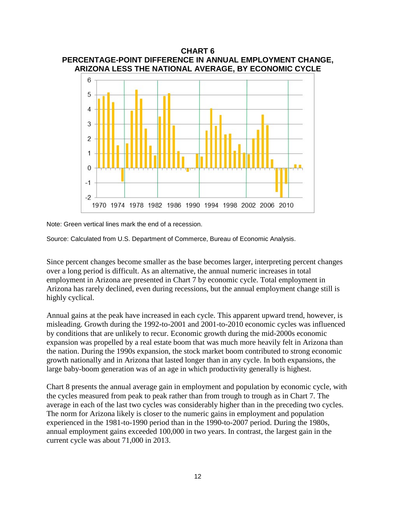

Note: Green vertical lines mark the end of a recession.

Source: Calculated from U.S. Department of Commerce, Bureau of Economic Analysis.

Since percent changes become smaller as the base becomes larger, interpreting percent changes over a long period is difficult. As an alternative, the annual numeric increases in total employment in Arizona are presented in Chart 7 by economic cycle. Total employment in Arizona has rarely declined, even during recessions, but the annual employment change still is highly cyclical.

Annual gains at the peak have increased in each cycle. This apparent upward trend, however, is misleading. Growth during the 1992-to-2001 and 2001-to-2010 economic cycles was influenced by conditions that are unlikely to recur. Economic growth during the mid-2000s economic expansion was propelled by a real estate boom that was much more heavily felt in Arizona than the nation. During the 1990s expansion, the stock market boom contributed to strong economic growth nationally and in Arizona that lasted longer than in any cycle. In both expansions, the large baby-boom generation was of an age in which productivity generally is highest.

Chart 8 presents the annual average gain in employment and population by economic cycle, with the cycles measured from peak to peak rather than from trough to trough as in Chart 7. The average in each of the last two cycles was considerably higher than in the preceding two cycles. The norm for Arizona likely is closer to the numeric gains in employment and population experienced in the 1981-to-1990 period than in the 1990-to-2007 period. During the 1980s, annual employment gains exceeded 100,000 in two years. In contrast, the largest gain in the current cycle was about 71,000 in 2013.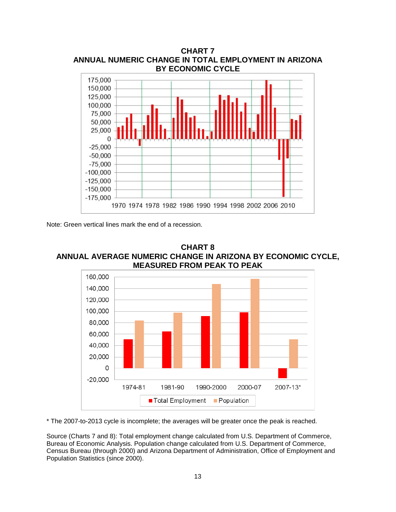

Note: Green vertical lines mark the end of a recession.





\* The 2007-to-2013 cycle is incomplete; the averages will be greater once the peak is reached.

Source (Charts 7 and 8): Total employment change calculated from U.S. Department of Commerce, Bureau of Economic Analysis. Population change calculated from U.S. Department of Commerce, Census Bureau (through 2000) and Arizona Department of Administration, Office of Employment and Population Statistics (since 2000).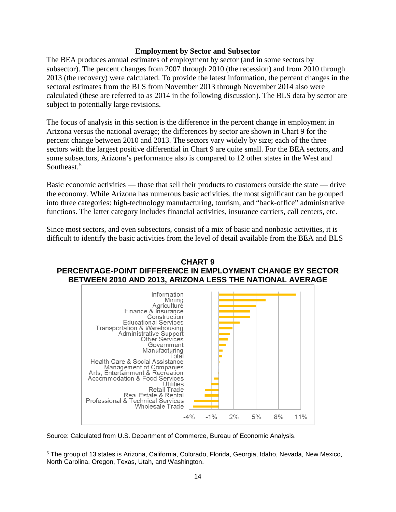#### **Employment by Sector and Subsector**

The BEA produces annual estimates of employment by sector (and in some sectors by subsector). The percent changes from 2007 through 2010 (the recession) and from 2010 through 2013 (the recovery) were calculated. To provide the latest information, the percent changes in the sectoral estimates from the BLS from November 2013 through November 2014 also were calculated (these are referred to as 2014 in the following discussion). The BLS data by sector are subject to potentially large revisions.

The focus of analysis in this section is the difference in the percent change in employment in Arizona versus the national average; the differences by sector are shown in Chart 9 for the percent change between 2010 and 2013. The sectors vary widely by size; each of the three sectors with the largest positive differential in Chart 9 are quite small. For the BEA sectors, and some subsectors, Arizona's performance also is compared to 12 other states in the West and Southeast.<sup>[5](#page-15-0)</sup>

Basic economic activities — those that sell their products to customers outside the state — drive the economy. While Arizona has numerous basic activities, the most significant can be grouped into three categories: high-technology manufacturing, tourism, and "back-office" administrative functions. The latter category includes financial activities, insurance carriers, call centers, etc.

Since most sectors, and even subsectors, consist of a mix of basic and nonbasic activities, it is difficult to identify the basic activities from the level of detail available from the BEA and BLS

### **CHART 9 PERCENTAGE-POINT DIFFERENCE IN EMPLOYMENT CHANGE BY SECTOR BETWEEN 2010 AND 2013, ARIZONA LESS THE NATIONAL AVERAGE**



Source: Calculated from U.S. Department of Commerce, Bureau of Economic Analysis.

l

<span id="page-15-0"></span><sup>5</sup> The group of 13 states is Arizona, California, Colorado, Florida, Georgia, Idaho, Nevada, New Mexico, North Carolina, Oregon, Texas, Utah, and Washington.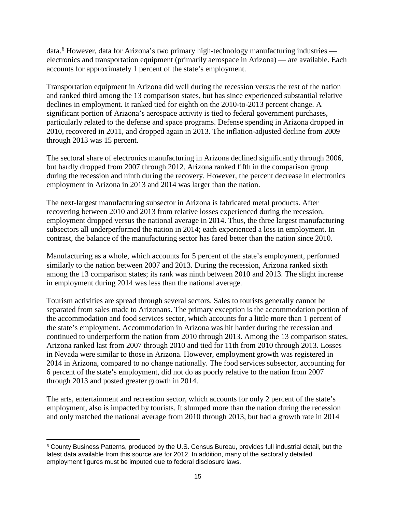data.[6](#page-16-0) However, data for Arizona's two primary high-technology manufacturing industries electronics and transportation equipment (primarily aerospace in Arizona) — are available. Each accounts for approximately 1 percent of the state's employment.

Transportation equipment in Arizona did well during the recession versus the rest of the nation and ranked third among the 13 comparison states, but has since experienced substantial relative declines in employment. It ranked tied for eighth on the 2010-to-2013 percent change. A significant portion of Arizona's aerospace activity is tied to federal government purchases, particularly related to the defense and space programs. Defense spending in Arizona dropped in 2010, recovered in 2011, and dropped again in 2013. The inflation-adjusted decline from 2009 through 2013 was 15 percent.

The sectoral share of electronics manufacturing in Arizona declined significantly through 2006, but hardly dropped from 2007 through 2012. Arizona ranked fifth in the comparison group during the recession and ninth during the recovery. However, the percent decrease in electronics employment in Arizona in 2013 and 2014 was larger than the nation.

The next-largest manufacturing subsector in Arizona is fabricated metal products. After recovering between 2010 and 2013 from relative losses experienced during the recession, employment dropped versus the national average in 2014. Thus, the three largest manufacturing subsectors all underperformed the nation in 2014; each experienced a loss in employment. In contrast, the balance of the manufacturing sector has fared better than the nation since 2010.

Manufacturing as a whole, which accounts for 5 percent of the state's employment, performed similarly to the nation between 2007 and 2013. During the recession, Arizona ranked sixth among the 13 comparison states; its rank was ninth between 2010 and 2013. The slight increase in employment during 2014 was less than the national average.

Tourism activities are spread through several sectors. Sales to tourists generally cannot be separated from sales made to Arizonans. The primary exception is the accommodation portion of the accommodation and food services sector, which accounts for a little more than 1 percent of the state's employment. Accommodation in Arizona was hit harder during the recession and continued to underperform the nation from 2010 through 2013. Among the 13 comparison states, Arizona ranked last from 2007 through 2010 and tied for 11th from 2010 through 2013. Losses in Nevada were similar to those in Arizona. However, employment growth was registered in 2014 in Arizona, compared to no change nationally. The food services subsector, accounting for 6 percent of the state's employment, did not do as poorly relative to the nation from 2007 through 2013 and posted greater growth in 2014.

The arts, entertainment and recreation sector, which accounts for only 2 percent of the state's employment, also is impacted by tourists. It slumped more than the nation during the recession and only matched the national average from 2010 through 2013, but had a growth rate in 2014

<span id="page-16-0"></span><sup>6</sup> County Business Patterns, produced by the U.S. Census Bureau, provides full industrial detail, but the latest data available from this source are for 2012. In addition, many of the sectorally detailed employment figures must be imputed due to federal disclosure laws.  $\overline{\phantom{a}}$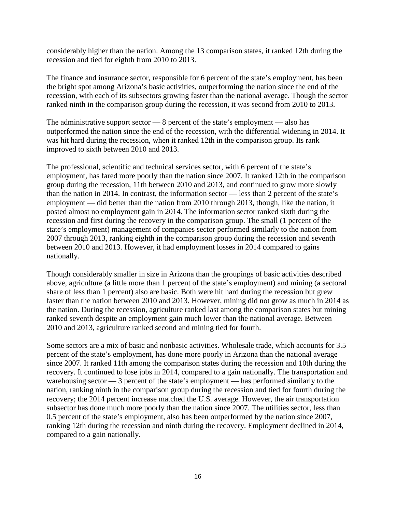considerably higher than the nation. Among the 13 comparison states, it ranked 12th during the recession and tied for eighth from 2010 to 2013.

The finance and insurance sector, responsible for 6 percent of the state's employment, has been the bright spot among Arizona's basic activities, outperforming the nation since the end of the recession, with each of its subsectors growing faster than the national average. Though the sector ranked ninth in the comparison group during the recession, it was second from 2010 to 2013.

The administrative support sector — 8 percent of the state's employment — also has outperformed the nation since the end of the recession, with the differential widening in 2014. It was hit hard during the recession, when it ranked 12th in the comparison group. Its rank improved to sixth between 2010 and 2013.

The professional, scientific and technical services sector, with 6 percent of the state's employment, has fared more poorly than the nation since 2007. It ranked 12th in the comparison group during the recession, 11th between 2010 and 2013, and continued to grow more slowly than the nation in 2014. In contrast, the information sector — less than 2 percent of the state's employment — did better than the nation from 2010 through 2013, though, like the nation, it posted almost no employment gain in 2014. The information sector ranked sixth during the recession and first during the recovery in the comparison group. The small (1 percent of the state's employment) management of companies sector performed similarly to the nation from 2007 through 2013, ranking eighth in the comparison group during the recession and seventh between 2010 and 2013. However, it had employment losses in 2014 compared to gains nationally.

Though considerably smaller in size in Arizona than the groupings of basic activities described above, agriculture (a little more than 1 percent of the state's employment) and mining (a sectoral share of less than 1 percent) also are basic. Both were hit hard during the recession but grew faster than the nation between 2010 and 2013. However, mining did not grow as much in 2014 as the nation. During the recession, agriculture ranked last among the comparison states but mining ranked seventh despite an employment gain much lower than the national average. Between 2010 and 2013, agriculture ranked second and mining tied for fourth.

Some sectors are a mix of basic and nonbasic activities. Wholesale trade, which accounts for 3.5 percent of the state's employment, has done more poorly in Arizona than the national average since 2007. It ranked 11th among the comparison states during the recession and 10th during the recovery. It continued to lose jobs in 2014, compared to a gain nationally. The transportation and warehousing sector — 3 percent of the state's employment — has performed similarly to the nation, ranking ninth in the comparison group during the recession and tied for fourth during the recovery; the 2014 percent increase matched the U.S. average. However, the air transportation subsector has done much more poorly than the nation since 2007. The utilities sector, less than 0.5 percent of the state's employment, also has been outperformed by the nation since 2007, ranking 12th during the recession and ninth during the recovery. Employment declined in 2014, compared to a gain nationally.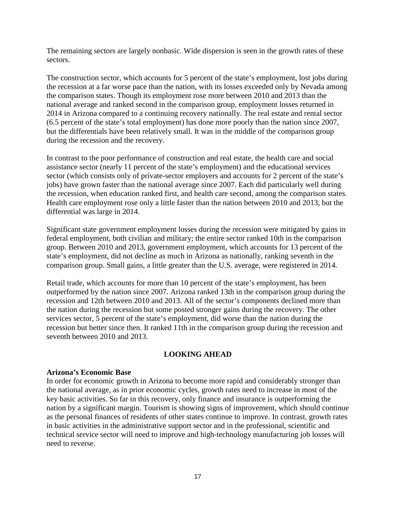The remaining sectors are largely nonbasic. Wide dispersion is seen in the growth rates of these sectors.

The construction sector, which accounts for 5 percent of the state's employment, lost jobs during the recession at a far worse pace than the nation, with its losses exceeded only by Nevada among the comparison states. Though its employment rose more between 2010 and 2013 than the national average and ranked second in the comparison group, employment losses returned in 2014 in Arizona compared to a continuing recovery nationally. The real estate and rental sector (6.5 percent of the state's total employment) has done more poorly than the nation since 2007, but the differentials have been relatively small. It was in the middle of the comparison group during the recession and the recovery.

In contrast to the poor performance of construction and real estate, the health care and social assistance sector (nearly 11 percent of the state's employment) and the educational services sector (which consists only of private-sector employers and accounts for 2 percent of the state's jobs) have grown faster than the national average since 2007. Each did particularly well during the recession, when education ranked first, and health care second, among the comparison states. Health care employment rose only a little faster than the nation between 2010 and 2013, but the differential was large in 2014.

Significant state government employment losses during the recession were mitigated by gains in federal employment, both civilian and military; the entire sector ranked 10th in the comparison group. Between 2010 and 2013, government employment, which accounts for 13 percent of the state's employment, did not decline as much in Arizona as nationally, ranking seventh in the comparison group. Small gains, a little greater than the U.S. average, were registered in 2014.

Retail trade, which accounts for more than 10 percent of the state's employment, has been outperformed by the nation since 2007. Arizona ranked 13th in the comparison group during the recession and 12th between 2010 and 2013. All of the sector's components declined more than the nation during the recession but some posted stronger gains during the recovery. The other services sector, 5 percent of the state's employment, did worse than the nation during the recession but better since then. It ranked 11th in the comparison group during the recession and seventh between 2010 and 2013.

#### **LOOKING AHEAD**

#### **Arizona's Economic Base**

In order for economic growth in Arizona to become more rapid and considerably stronger than the national average, as in prior economic cycles, growth rates need to increase in most of the key basic activities. So far in this recovery, only finance and insurance is outperforming the nation by a significant margin. Tourism is showing signs of improvement, which should continue as the personal finances of residents of other states continue to improve. In contrast, growth rates in basic activities in the administrative support sector and in the professional, scientific and technical service sector will need to improve and high-technology manufacturing job losses will need to reverse.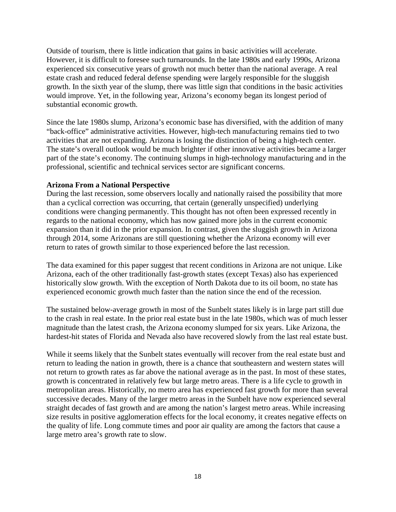Outside of tourism, there is little indication that gains in basic activities will accelerate. However, it is difficult to foresee such turnarounds. In the late 1980s and early 1990s, Arizona experienced six consecutive years of growth not much better than the national average. A real estate crash and reduced federal defense spending were largely responsible for the sluggish growth. In the sixth year of the slump, there was little sign that conditions in the basic activities would improve. Yet, in the following year, Arizona's economy began its longest period of substantial economic growth.

Since the late 1980s slump, Arizona's economic base has diversified, with the addition of many "back-office" administrative activities. However, high-tech manufacturing remains tied to two activities that are not expanding. Arizona is losing the distinction of being a high-tech center. The state's overall outlook would be much brighter if other innovative activities became a larger part of the state's economy. The continuing slumps in high-technology manufacturing and in the professional, scientific and technical services sector are significant concerns.

#### **Arizona From a National Perspective**

During the last recession, some observers locally and nationally raised the possibility that more than a cyclical correction was occurring, that certain (generally unspecified) underlying conditions were changing permanently. This thought has not often been expressed recently in regards to the national economy, which has now gained more jobs in the current economic expansion than it did in the prior expansion. In contrast, given the sluggish growth in Arizona through 2014, some Arizonans are still questioning whether the Arizona economy will ever return to rates of growth similar to those experienced before the last recession.

The data examined for this paper suggest that recent conditions in Arizona are not unique. Like Arizona, each of the other traditionally fast-growth states (except Texas) also has experienced historically slow growth. With the exception of North Dakota due to its oil boom, no state has experienced economic growth much faster than the nation since the end of the recession.

The sustained below-average growth in most of the Sunbelt states likely is in large part still due to the crash in real estate. In the prior real estate bust in the late 1980s, which was of much lesser magnitude than the latest crash, the Arizona economy slumped for six years. Like Arizona, the hardest-hit states of Florida and Nevada also have recovered slowly from the last real estate bust.

While it seems likely that the Sunbelt states eventually will recover from the real estate bust and return to leading the nation in growth, there is a chance that southeastern and western states will not return to growth rates as far above the national average as in the past. In most of these states, growth is concentrated in relatively few but large metro areas. There is a life cycle to growth in metropolitan areas. Historically, no metro area has experienced fast growth for more than several successive decades. Many of the larger metro areas in the Sunbelt have now experienced several straight decades of fast growth and are among the nation's largest metro areas. While increasing size results in positive agglomeration effects for the local economy, it creates negative effects on the quality of life. Long commute times and poor air quality are among the factors that cause a large metro area's growth rate to slow.